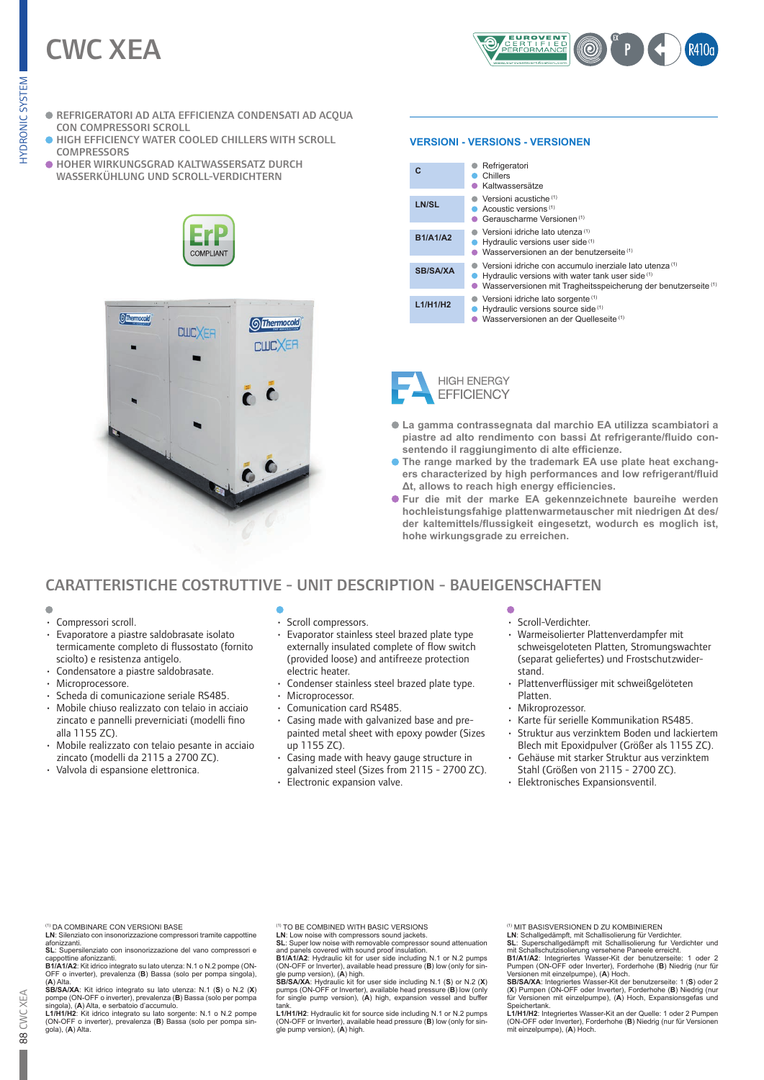# CWC XEA



- REFRIGERATORI AD ALTA EFFICIENZA CONDENSATI AD ACQUA CON COMPRESSORI SCROLL
- **.** HIGH EFFICIENCY WATER COOLED CHILLERS WITH SCROLL **COMPRESSORS**
- HOHER WIRKUNGSGRAD KALTWASSERSATZ DURCH WASSERKÜHLUNG UND SCROLL-VERDICHTERN





# **VERSIONI - VERSIONS - VERSIONEN**

| C               | Refrigeratori<br>Chillers<br>Kaltwassersätze                                                                                                                                                        |
|-----------------|-----------------------------------------------------------------------------------------------------------------------------------------------------------------------------------------------------|
| LN/SL           | Versioni acustiche <sup>(1)</sup><br>Acoustic versions <sup>(1)</sup><br>Gerauscharme Versionen <sup>(1)</sup>                                                                                      |
| <b>B1/A1/A2</b> | Versioni idriche lato utenza <sup>(1)</sup><br>Hydraulic versions user side (1)<br>Wasserversionen an der benutzerseite <sup>(1)</sup>                                                              |
| <b>SB/SA/XA</b> | Versioni idriche con accumulo inerziale lato utenza <sup>(1)</sup><br>Hydraulic versions with water tank user side (1)<br>Wasserversionen mit Tragheitsspeicherung der benutzerseite <sup>(1)</sup> |
| L1/H1/H2        | Versioni idriche lato sorgente <sup>(1)</sup><br>Hydraulic versions source side (1)<br>Wasserversionen an der Quelleseite <sup>(1)</sup>                                                            |



- **La gamma contrassegnata dal marchio EA utilizza scambiatori a piastre ad alto rendimento con bassi Δt refrigerante/fluido consentendo il raggiungimento di alte efficienze.**
- **The range marked by the trademark EA use plate heat exchangers characterized by high performances and low refrigerant/fluid Δt, allows to reach high energy efficiencies.**
- **Fur die mit der marke EA gekennzeichnete baureihe werden hochleistungsfahige plattenwarmetauscher mit niedrigen Δt des/ der kaltemittels/flussigkeit eingesetzt, wodurch es moglich ist, hohe wirkungsgrade zu erreichen.**

# CARATTERISTICHE COSTRUTTIVE - UNIT DESCRIPTION - BAUEIGENSCHAFTEN

- $\blacksquare$
- Compressori scroll.
- Evaporatore a piastre saldobrasate isolato termicamente completo di flussostato (fornito sciolto) e resistenza antigelo.
- Condensatore a piastre saldobrasate.
- Microprocessore.
- Scheda di comunicazione seriale RS485.
- Mobile chiuso realizzato con telaio in acciaio zincato e pannelli preverniciati (modelli fino alla 1155 ZC).
- Mobile realizzato con telaio pesante in acciaio zincato (modelli da 2115 a 2700 ZC).
- Valvola di espansione elettronica.
- Scroll compressors.
- Evaporator stainless steel brazed plate type externally insulated complete of flow switch (provided loose) and antifreeze protection electric heater.
- Condenser stainless steel brazed plate type.
- Microprocessor.
- Comunication card RS485.
- Casing made with galvanized base and prepainted metal sheet with epoxy powder (Sizes up 1155 ZC).
- Casing made with heavy gauge structure in galvanized steel (Sizes from 2115 - 2700 ZC).
- Electronic expansion valve.

- Scroll-Verdichter.
- Warmeisolierter Plattenverdampfer mit schweisgeloteten Platten, Stromungswachter (separat geliefertes) und Frostschutzwiderstand.
- Plattenverflüssiger mit schweißgelöteten Platten.
- Mikroprozessor.
- Karte für serielle Kommunikation RS485.
- Struktur aus verzinktem Boden und lackiertem Blech mit Epoxidpulver (Größer als 1155 ZC).
- Gehäuse mit starker Struktur aus verzinktem Stahl (Größen von 2115 - 2700 ZC).
	- Elektronisches Expansionsventil.

- **LN**: Silenziato con insonorizzazione compressori tramite cappottine<br>afonizzanti.<br>**SL**: Supersilenziato con insonorizzazione del vano compressori e
- 

cappottine afonizzanti.<br>B1/A1/A2: Kit idrico integrato su lato utenza: N.1 o N.2 pompe (ON-<br>OFF o inverter), prevalenza (B) Bassa (solo per pompa singola),<br>(A) Alta.<br>SB/SA/XA: Kit idrico integrato su lato utenza: N.1 (S) o

singola), (**A**) Alta, e serbatoio d'accumulo.<br>**L1/H1/H2:** Kit idrico integrato su lato sorgente: N.1 o N.2 pompe<br>(ON-OFF o inverter), prevalenza (**B**) Bassa (solo per pompa sin-<br>gola), (**A**) Alta.

(1) TO BE COMBINED WITH BASIC VERSIONS

LN: Low noise with compressors sound jackets.<br>SL: Super low noise with removable compressor sound attenuation<br>and panels covered with sound proof insulation.<br>B1/A1/A2: Hydraulic kit for user side including N.1 or N.2 pumps

(ON-OFF or Inverter), available head pressure (B) low (only for sin-<br>Single pump version), (A) high.<br>SB/SA/XA: Hydraulic kit for user side including N.1 (S) or N.2 (X)<br>pumps (ON-OFF or Inverter), available head pressure (B tank.

**L1/H1/H2**: Hydraulic kit for source side including N.1 or N.2 pumps (ON-OFF or Inverter), available head pressure (**B**) low (only for sin-gle pump version), (**A**) high.

(1) MIT BASISVERSIONEN D ZU KOMBINIEREN

LN: Schallgedämpft, mit Schallisolierung für Verdichter.<br>SL: Superschallgedämpft mit Schallisolierung fur Verdichter und<br>mit Schallschutzisolierung versehene Paneele erreicht.<br>B1/A1/A2: Integriertes Wasser-Kit der benutzer

Pumpen (ON-OFF oder Inverter), Forderhohe (B) Niedrig (nur für<br>Versionen mit einzelpumpe), (A) Hoch.<br>SB/SA/XA: Integriertes Wasser-Kit der benutzerseite: 1 (S) oder 2<br>(X) Pumpen (ON-OFF oder Inverter), Forderhohe (B) Niedr Speichertank.

**L1/H1/H2**: Integriertes Wasser-Kit an der Quelle: 1 oder 2 Pumpen (ON-OFF oder Inverter), Forderhohe (**B**) Niedrig (nur für Versionen mit einzelpumpe), (**A**) Hoch.

<sup>(1)</sup> DA COMBINARE CON VERSIONI BASE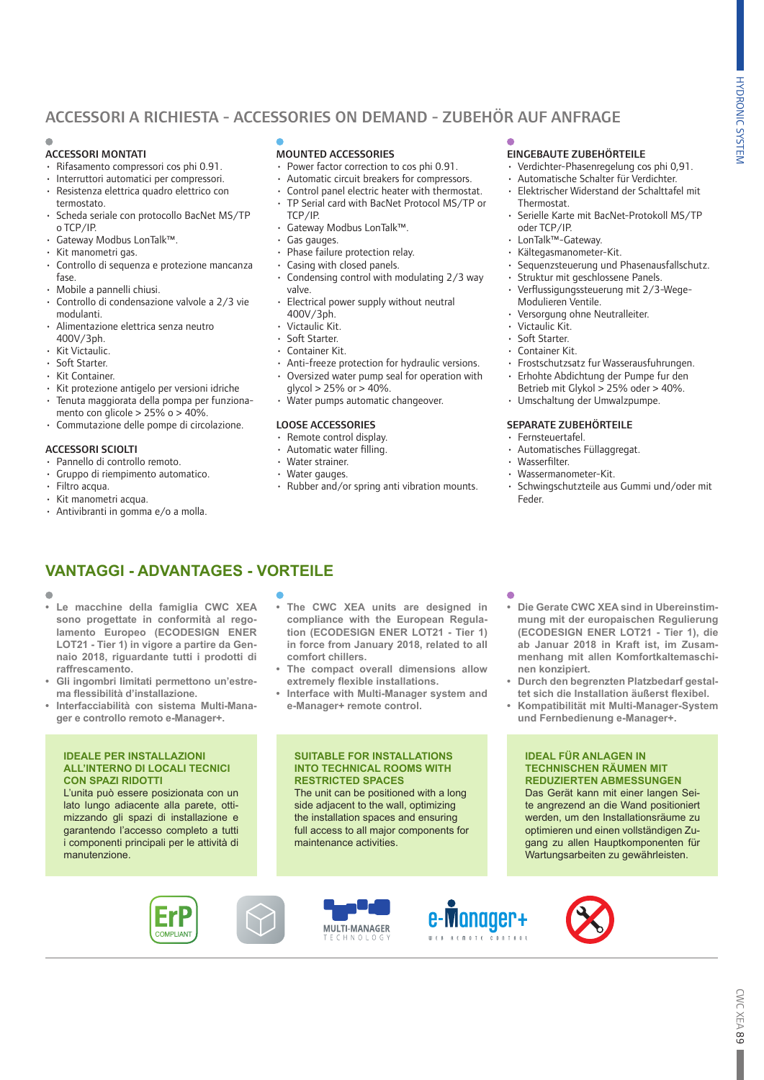# ACCESSORI A RICHIESTA - ACCESSORIES ON DEMAND - ZUBEHÖR AUF ANFRAGE

# ACCESSORI MONTATI

- Rifasamento compressori cos phi 0.91.
- 
- Interruttori automatici per compressori. • Resistenza elettrica quadro elettrico con
- termostato. • Scheda seriale con protocollo BacNet MS/TP
- o TCP/IP.
- Gateway Modbus LonTalk™.
- Kit manometri gas.
- Controllo di sequenza e protezione mancanza fase.
- Mobile a pannelli chiusi.
- Controllo di condensazione valvole a 2/3 vie modulanti.
- Alimentazione elettrica senza neutro 400V/3ph.
- Kit Victaulic.
- Soft Starter.
- Kit Container.
- Kit protezione antigelo per versioni idriche • Tenuta maggiorata della pompa per funziona-
- mento con glicole >  $25\%$  o >  $40\%$ .
- Commutazione delle pompe di circolazione.
- ACCESSORI SCIOLTI

# • Pannello di controllo remoto.

- Gruppo di riempimento automatico.
- Filtro acqua.
- Kit manometri acqua.
- Antivibranti in gomma e/o a molla.

# MOUNTED ACCESSORIES

- Power factor correction to cos phi 0.91.
- Automatic circuit breakers for compressors.
- Control panel electric heater with thermostat. • TP Serial card with BacNet Protocol MS/TP or
- TCP/IP.
- Gateway Modbus LonTalk™.
- Gas gauges.
- Phase failure protection relay.
- Casing with closed panels.
- Condensing control with modulating 2/3 way valve.
- Electrical power supply without neutral 400V/3ph.
- Victaulic Kit.
- Soft Starter.
- Container Kit.
- 
- Anti-freeze protection for hydraulic versions. • Oversized water pump seal for operation with
- $a$ lycol > 25% or > 40%. Water pumps automatic changeover.

### LOOSE ACCESSORIES

- Remote control display.
- Automatic water filling.
- Water strainer.
- Water gauges.
- Rubber and/or spring anti vibration mounts.

# EINGEBAUTE ZUBEHÖRTEILE

- Verdichter-Phasenregelung cos phi 0,91.
- Automatische Schalter für Verdichter. • Elektrischer Widerstand der Schalttafel mit
- Thermostat.
- Serielle Karte mit BacNet-Protokoll MS/TP oder TCP/IP.
- LonTalk™-Gateway.
- Kältegasmanometer-Kit.
- Sequenzsteuerung und Phasenausfallschutz.
- Struktur mit geschlossene Panels.
- Verflussigungssteuerung mit 2/3-Wege-Modulieren Ventile.
- Versorgung ohne Neutralleiter.
- Victaulic Kit.
- Soft Starter.
- Container Kit.
- Frostschutzsatz fur Wasserausfuhrungen.
- Erhohte Abdichtung der Pumpe fur den
- Betrieb mit Glykol > 25% oder > 40%. • Umschaltung der Umwalzpumpe.

## SEPARATE ZUBEHÖRTEILE

- Fernsteuertafel.
- Automatisches Füllaggregat.
- Wasserfilter.
- Wassermanometer-Kit.
- Schwingschutzteile aus Gummi und/oder mit Feder.

# **VANTAGGI - ADVANTAGES - VORTEILE**

- 
- **• Le macchine della famiglia CWC XEA sono progettate in conformità al regolamento Europeo (ECODESIGN ENER LOT21 - Tier 1) in vigore a partire da Gennaio 2018, riguardante tutti i prodotti di raffrescamento.**
- **• Gli ingombri limitati permettono un'estrema flessibilità d'installazione.**
- **• Interfacciabilità con sistema Multi-Manager e controllo remoto e-Manager+.**

#### **IDEALE PER INSTALLAZIONI ALL'INTERNO DI LOCALI TECNICI CON SPAZI RIDOTTI**

L'unita può essere posizionata con un lato lungo adiacente alla parete, ottimizzando gli spazi di installazione e garantendo l'accesso completo a tutti i componenti principali per le attività di manutenzione.

COMPLIANT

- **• The CWC XEA units are designed in compliance with the European Regulation (ECODESIGN ENER LOT21 - Tier 1) in force from January 2018, related to all comfort chillers.**
- **• The compact overall dimensions allow extremely flexible installations.**
- **• Interface with Multi-Manager system and e-Manager+ remote control.**

## **SUITABLE FOR INSTALLATIONS INTO TECHNICAL ROOMS WITH RESTRICTED SPACES**

The unit can be positioned with a long side adjacent to the wall, optimizing the installation spaces and ensuring full access to all major components for maintenance activities.









- **• Die Gerate CWC XEA sind in Ubereinstimmung mit der europaischen Regulierung (ECODESIGN ENER LOT21 - Tier 1), die ab Januar 2018 in Kraft ist, im Zusammenhang mit allen Komfortkaltemaschi**
	- **nen konzipiert. • Durch den begrenzten Platzbedarf gestal-**
	- **tet sich die Installation äußerst flexibel. • Kompatibilität mit Multi-Manager-System**
	- **und Fernbedienung e-Manager+.**

# **IDEAL FÜR ANLAGEN IN TECHNISCHEN RÄUMEN MIT REDUZIERTEN ABMESSUNGEN**

Das Gerät kann mit einer langen Seite angrezend an die Wand positioniert werden, um den Installationsräume zu optimieren und einen vollständigen Zugang zu allen Hauptkomponenten für Wartungsarbeiten zu gewährleisten.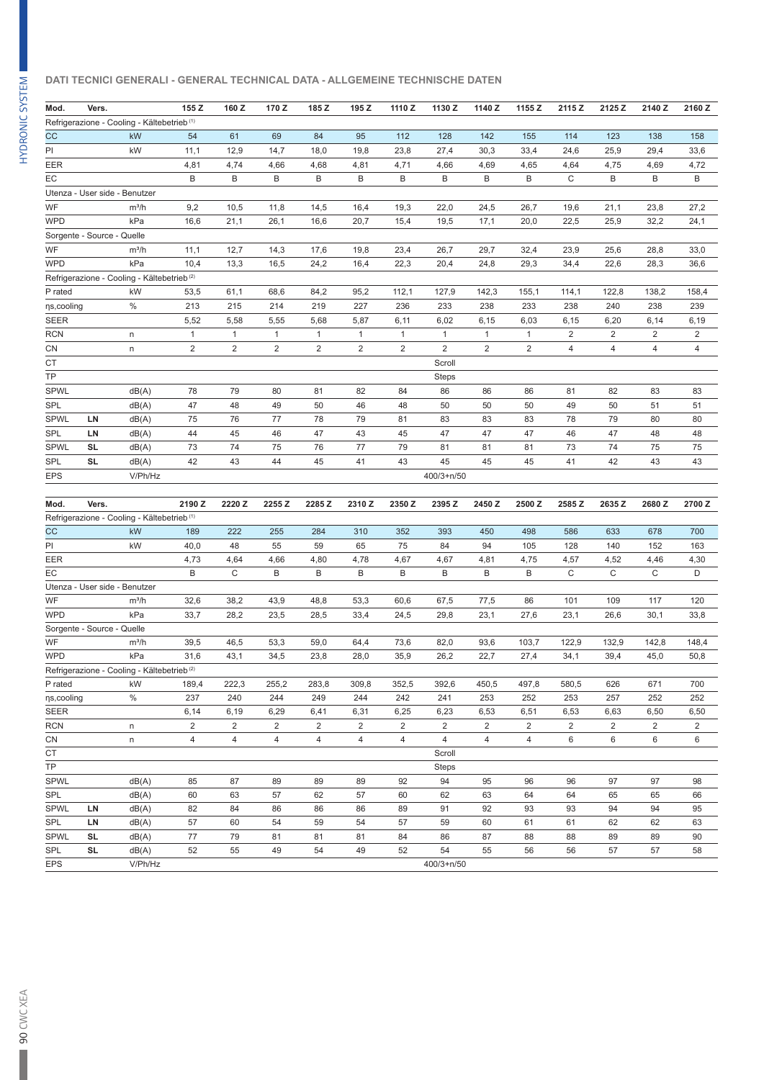# **DATI TECNICI GENERALI - GENERAL TECHNICAL DATA - ALLGEMEINE TECHNISCHE DATEN**

| Mod.              | Vers.                      |                                                        | 155 Z          | 160 Z          | 170 Z          | 185 Z          | 195 Z          | 1110Z  | 1130 Z           | 1140 Z         | 1155 Z         | 2115 Z         | 2125 Z         | 2140 Z         | 2160Z          |
|-------------------|----------------------------|--------------------------------------------------------|----------------|----------------|----------------|----------------|----------------|--------|------------------|----------------|----------------|----------------|----------------|----------------|----------------|
|                   |                            | Refrigerazione - Cooling - Kältebetrieb <sup>(1)</sup> |                |                |                |                |                |        |                  |                |                |                |                |                |                |
| CC                |                            | kW                                                     | 54             | 61             | 69             | 84             | 95             | 112    | 128              | 142            | 155            | 114            | 123            | 138            | 158            |
| PI                |                            | kW                                                     | 11,1           | 12,9           | 14,7           | 18,0           | 19,8           | 23,8   | 27,4             | 30,3           | 33,4           | 24,6           | 25,9           | 29,4           | 33,6           |
| EER               |                            |                                                        | 4,81           | 4,74           | 4,66           | 4,68           | 4,81           | 4,71   | 4,66             | 4,69           | 4,65           | 4,64           | 4,75           | 4,69           | 4,72           |
| EC                |                            |                                                        | B              | B              | B              | B              | B              | B      | B                | B              | B              | C              | B              | B              | B              |
|                   |                            | Utenza - User side - Benutzer                          |                |                |                |                |                |        |                  |                |                |                |                |                |                |
| WF                |                            | $m^3/h$                                                | 9,2            | 10,5           | 11,8           | 14,5           | 16,4           | 19,3   | 22,0             | 24,5           | 26,7           | 19,6           | 21,1           | 23,8           | 27,2           |
| <b>WPD</b>        |                            | kPa                                                    | 16,6           | 21,1           | 26,1           | 16,6           | 20,7           | 15,4   | 19,5             | 17,1           | 20,0           | 22,5           | 25,9           | 32,2           | 24,1           |
|                   | Sorgente - Source - Quelle |                                                        |                |                |                |                |                |        |                  |                |                |                |                |                |                |
| WF                |                            | $m^3/h$                                                | 11,1           | 12,7           | 14,3           | 17,6           | 19,8           | 23,4   | 26,7             | 29,7           | 32,4           | 23,9           | 25,6           | 28,8           | 33,0           |
| <b>WPD</b>        |                            | kPa                                                    | 10,4           | 13,3           | 16,5           | 24,2           | 16,4           | 22,3   | 20,4             | 24,8           | 29,3           | 34,4           | 22,6           | 28,3           | 36,6           |
|                   |                            |                                                        |                |                |                |                |                |        |                  |                |                |                |                |                |                |
|                   |                            | Refrigerazione - Cooling - Kältebetrieb <sup>(2)</sup> |                |                |                |                |                |        |                  |                |                |                |                |                |                |
| P rated           |                            | kW                                                     | 53,5           | 61,1           | 68,6           | 84,2           | 95,2           | 112,1  | 127,9            | 142,3          | 155,1          | 114,1          | 122,8          | 138,2          | 158,4          |
| ns,cooling        |                            | $\%$                                                   | 213            | 215            | 214            | 219            | 227            | 236    | 233              | 238            | 233            | 238            | 240            | 238            | 239            |
| <b>SEER</b>       |                            |                                                        | 5,52           | 5,58           | 5,55           | 5,68           | 5,87           | 6,11   | 6,02             | 6,15           | 6,03           | 6,15           | 6,20           | 6,14           | 6,19           |
| RCN               |                            | n                                                      | 1              | $\mathbf{1}$   | 1              | $\mathbf{1}$   | 1              | 1      | $\mathbf{1}$     | $\mathbf{1}$   | $\mathbf{1}$   | $\overline{2}$ | $\overline{c}$ | 2              | $\overline{c}$ |
| CN                |                            | n                                                      | 2              | $\overline{2}$ | $\overline{2}$ | $\overline{2}$ | $\overline{2}$ | 2      | $\overline{2}$   | $\overline{2}$ | $\overline{2}$ | $\overline{4}$ | $\overline{4}$ | 4              | 4              |
| CT                |                            |                                                        |                |                |                |                |                |        | Scroll           |                |                |                |                |                |                |
| TP                |                            |                                                        |                |                |                |                |                |        | Steps            |                |                |                |                |                |                |
| <b>SPWL</b>       |                            | dB(A)                                                  | 78             | 79             | 80             | 81             | 82             | 84     | 86               | 86             | 86             | 81             | 82             | 83             | 83             |
| SPL               |                            | dB(A)                                                  | 47             | 48             | 49             | 50             | 46             | 48     | 50               | 50             | 50             | 49             | 50             | 51             | 51             |
| <b>SPWL</b>       | LN                         | dB(A)                                                  | 75             | 76             | 77             | 78             | 79             | 81     | 83               | 83             | 83             | 78             | 79             | 80             | 80             |
| SPL               | LN                         | dB(A)                                                  | 44             | 45             | 46             | 47             | 43             | 45     | 47               | 47             | 47             | 46             | 47             | 48             | 48             |
| <b>SPWL</b>       | SL                         | dB(A)                                                  | 73             | 74             | 75             | 76             | 77             | 79     | 81               | 81             | 81             | 73             | 74             | 75             | 75             |
| <b>SPL</b>        | SL                         | dB(A)                                                  | 42             | 43             | 44             | 45             | 41             | 43     | 45               | 45             | 45             | 41             | 42             | 43             | 43             |
| <b>EPS</b>        |                            | V/Ph/Hz                                                |                |                |                |                |                |        | 400/3+n/50       |                |                |                |                |                |                |
|                   |                            |                                                        |                |                |                |                |                |        |                  |                |                |                |                |                |                |
| Mod.              | Vers.                      |                                                        | 2190 Z         | 2220 Z         | 2255 Z         | 2285 Z         | 2310 Z         | 2350 Z | 2395 Z           | 2450 Z         | 2500 Z         | 2585 Z         | 2635 Z         | 2680 Z         | 2700Z          |
|                   |                            | Refrigerazione - Cooling - Kältebetrieb (1)            |                |                |                |                |                |        |                  |                |                |                |                |                |                |
| CC                |                            | kW                                                     | 189            | 222            | 255            | 284            | 310            | 352    | 393              | 450            | 498            | 586            | 633            | 678            | 700            |
| PI                |                            | kW                                                     | 40,0           | 48             | 55             | 59             | 65             | 75     | 84               | 94             | 105            | 128            | 140            | 152            | 163            |
| EER               |                            |                                                        | 4,73           | 4,64           | 4,66           | 4,80           | 4,78           | 4,67   | 4,67             | 4,81           | 4,75           | 4,57           | 4,52           | 4,46           | 4,30           |
| ЕC                |                            |                                                        | B              | C              | B              | B              | B              | B      | B                | B              | B              | C              | C              | C              | D              |
|                   |                            | Utenza - User side - Benutzer                          |                |                |                |                |                |        |                  |                |                |                |                |                |                |
| WF                |                            | $m^3/h$                                                | 32,6           | 38,2           | 43,9           | 48,8           | 53,3           | 60,6   | 67,5             | 77,5           | 86             | 101            | 109            | 117            | 120            |
| <b>WPD</b>        |                            | kPa                                                    | 33,7           | 28,2           | 23,5           | 28,5           | 33,4           | 24,5   | 29,8             | 23,1           | 27,6           | 23,1           | 26,6           | 30,1           | 33,8           |
|                   | Sorgente - Source - Quelle |                                                        |                |                |                |                |                |        |                  |                |                |                |                |                |                |
| WF                |                            | $m^3/h$                                                | 39,5           | 46,5           | 53,3           | 59,0           | 64,4           | 73,6   | 82,0             | 93,6           | 103,7          | 122,9          | 132,9          | 142,8          | 148,4          |
| <b>WPD</b>        |                            | kPa                                                    | 31,6           | 43,1           | 34,5           | 23,8           | 28,0           | 35,9   | 26,2             | 22,7           | 27,4           | 34,1           | 39,4           | 45,0           | 50,8           |
|                   |                            | Refrigerazione - Cooling - Kältebetrieb <sup>(2)</sup> |                |                |                |                |                |        |                  |                |                |                |                |                |                |
| P rated           |                            | kW                                                     | 189,4          | 222,3          | 255,2          | 283,8          | 309,8          | 352,5  | 392,6            | 450,5          | 497,8          | 580,5          | 626            | 671            | 700            |
| ns, cooling       |                            | %                                                      | 237            | 240            | 244            | 249            | 244            | 242    | 241              | 253            | 252            | 253            | 257            | 252            | 252            |
| SEER              |                            |                                                        | 6,14           | 6,19           | 6,29           | 6,41           | 6,31           | 6,25   | 6,23             | 6,53           | 6,51           | 6,53           | 6,63           | 6,50           | 6,50           |
| RCN               |                            | n                                                      | $\overline{2}$ | 2              | 2              | 2              | $\overline{2}$ | 2      | 2                | 2              | 2              | 2              | 2              | $\overline{2}$ | $\overline{c}$ |
| CN                |                            | n                                                      | 4              | 4              | 4              | 4              | 4              | 4      | 4                | 4              | 4              | 6              | 6              | 6              | 6              |
| СT                |                            |                                                        |                |                |                |                |                |        | Scroll           |                |                |                |                |                |                |
| TP                |                            |                                                        |                |                |                |                |                |        | <b>Steps</b>     |                |                |                |                |                |                |
| <b>SPWL</b>       |                            | dB(A)                                                  | 85             | 87             | 89             | 89             | 89             | 92     | 94               | 95             | 96             | 96             | 97             | 97             | 98             |
| SPL               |                            | dB(A)                                                  | 60             | 63             | 57             | 62             | 57             | 60     | 62               | 63             | 64             | 64             | 65             | 65             | 66             |
| <b>SPWL</b>       |                            | dB(A)                                                  | 82             | 84             | 86             | 86             | 86             | 89     | 91               | 92             | 93             | 93             | 94             | 94             | 95             |
|                   |                            |                                                        |                |                |                |                |                |        |                  |                |                |                |                |                |                |
|                   | LN                         |                                                        |                |                |                |                |                |        |                  |                |                |                |                |                |                |
| SPL               | LN                         | dB(A)                                                  | 57             | 60             | 54             | 59             | 54             | 57     | 59               | 60             | 61             | 61             | 62             | 62             | 63             |
| <b>SPWL</b>       | SL                         | dB(A)                                                  | 77             | 79             | 81             | 81             | 81             | 84     | 86               | 87             | 88             | 88             | 89             | 89             | 90             |
| SPL<br><b>EPS</b> | SL                         | dB(A)<br>V/Ph/Hz                                       | 52             | 55             | 49             | 54             | 49             | 52     | 54<br>400/3+n/50 | 55             | 56             | 56             | 57             | 57             | 58             |